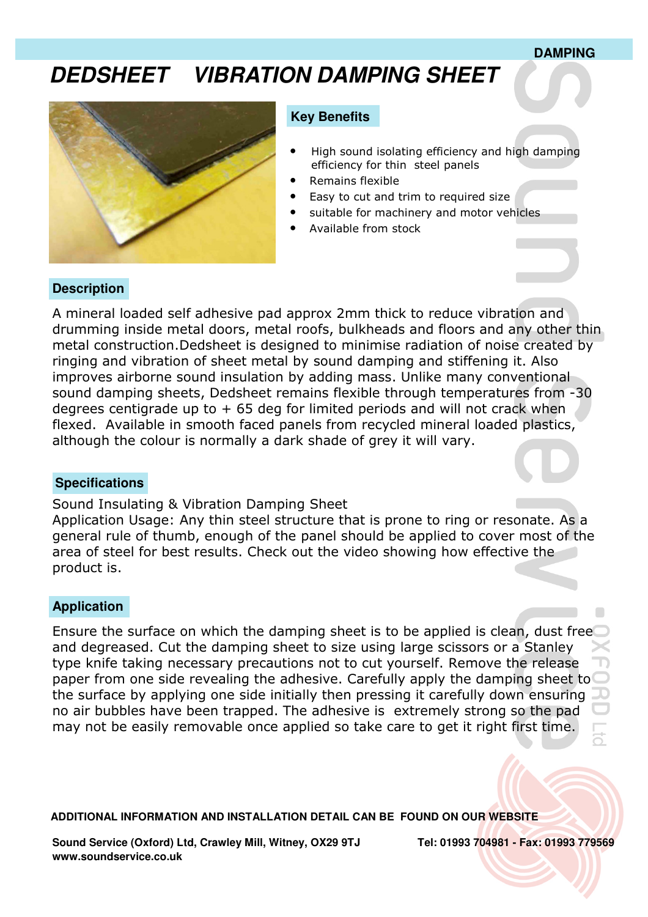#### **DAMPING**

# **DEDSHEET VIBRATION DAMPING SHEET**



#### **Key Benefits**

- High sound isolating efficiency and high damping efficiency for thin steel panels
- Remains flexible
- Easy to cut and trim to required size
- suitable for machinery and motor vehicles
- Available from stock

# **Description**

A mineral loaded self adhesive pad approx 2mm thick to reduce vibration and drumming inside metal doors, metal roofs, bulkheads and floors and any other thin metal construction.Dedsheet is designed to minimise radiation of noise created by ringing and vibration of sheet metal by sound damping and stiffening it. Also improves airborne sound insulation by adding mass. Unlike many conventional sound damping sheets, Dedsheet remains flexible through temperatures from -30 degrees centigrade up to  $+65$  deg for limited periods and will not crack when flexed. Available in smooth faced panels from recycled mineral loaded plastics, although the colour is normally a dark shade of grey it will vary.

## **Specifications**

Sound Insulating & Vibration Damping Sheet Application Usage: Any thin steel structure that is prone to ring or resonate. As a general rule of thumb, enough of the panel should be applied to cover most of the area of steel for best results. Check out the video showing how effective the product is.

### **Application**

Ensure the surface on which the damping sheet is to be applied is clean, dust free and degreased. Cut the damping sheet to size using large scissors or a Stanley type knife taking necessary precautions not to cut yourself. Remove the release paper from one side revealing the adhesive. Carefully apply the damping sheet to the surface by applying one side initially then pressing it carefully down ensuring no air bubbles have been trapped. The adhesive is extremely strong so the pad may not be easily removable once applied so take care to get it right first time.

**ADDITIONAL INFORMATION AND INSTALLATION DETAIL CAN BE FOUND ON OUR WEBSITE**